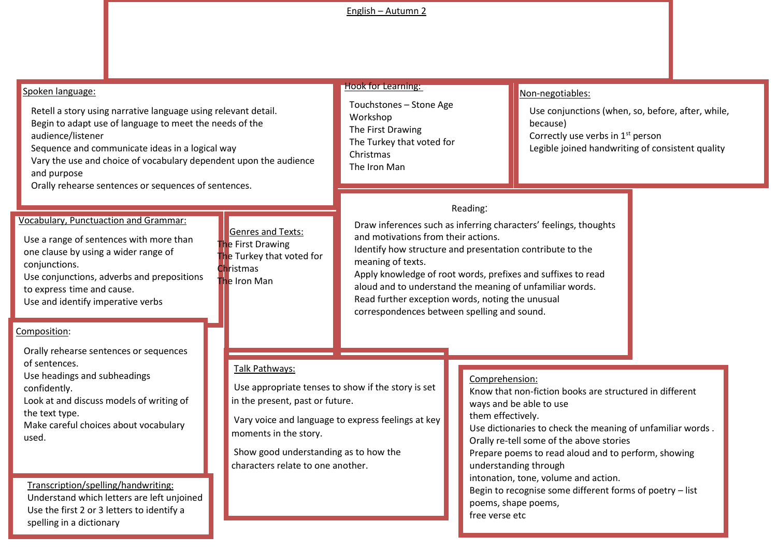## English – Autumn 2

| Spoken language:                                                                                                                                                                                                                                                                                                                                                                       |                                                                                                                                                                                                                | <b>Hook for Learning:</b>                                                                                                                                                                                                                                                                                                                            |                                                                                                                                                                                                                                                                                                                                                                                                                                                                  | Non-negotiables:                                                                                                                                                   |  |
|----------------------------------------------------------------------------------------------------------------------------------------------------------------------------------------------------------------------------------------------------------------------------------------------------------------------------------------------------------------------------------------|----------------------------------------------------------------------------------------------------------------------------------------------------------------------------------------------------------------|------------------------------------------------------------------------------------------------------------------------------------------------------------------------------------------------------------------------------------------------------------------------------------------------------------------------------------------------------|------------------------------------------------------------------------------------------------------------------------------------------------------------------------------------------------------------------------------------------------------------------------------------------------------------------------------------------------------------------------------------------------------------------------------------------------------------------|--------------------------------------------------------------------------------------------------------------------------------------------------------------------|--|
| Retell a story using narrative language using relevant detail.<br>Begin to adapt use of language to meet the needs of the<br>audience/listener<br>Sequence and communicate ideas in a logical way<br>Vary the use and choice of vocabulary dependent upon the audience<br>and purpose<br>Orally rehearse sentences or sequences of sentences.                                          |                                                                                                                                                                                                                | Touchstones - Stone Age<br>Workshop<br>The First Drawing<br>The Turkey that voted for<br>Christmas<br>The Iron Man                                                                                                                                                                                                                                   |                                                                                                                                                                                                                                                                                                                                                                                                                                                                  | Use conjunctions (when, so, before, after, while,<br>because)<br>Correctly use verbs in 1 <sup>st</sup> person<br>Legible joined handwriting of consistent quality |  |
| <b>Vocabulary, Punctuaction and Grammar:</b><br>Use a range of sentences with more than<br>one clause by using a wider range of<br>conjunctions.<br>Use conjunctions, adverbs and prepositions<br>to express time and cause.<br>Use and identify imperative verbs<br>Composition:                                                                                                      | <b>Genres and Texts:</b><br>The First Drawing<br>The Turkey that voted for<br>Christmas<br>The Iron Man                                                                                                        | and motivations from their actions.<br>Identify how structure and presentation contribute to the<br>meaning of texts.<br>Apply knowledge of root words, prefixes and suffixes to read<br>aloud and to understand the meaning of unfamiliar words.<br>Read further exception words, noting the unusual<br>correspondences between spelling and sound. | Reading:                                                                                                                                                                                                                                                                                                                                                                                                                                                         | Draw inferences such as inferring characters' feelings, thoughts                                                                                                   |  |
| Orally rehearse sentences or sequences<br>of sentences.<br>Use headings and subheadings<br>confidently.<br>Look at and discuss models of writing of<br>the text type.<br>Make careful choices about vocabulary<br>used.<br>Transcription/spelling/handwriting:<br>Understand which letters are left unjoined<br>Use the first 2 or 3 letters to identify a<br>spelling in a dictionary | Talk Pathways:<br>Use appropriate tenses to show if the story is set<br>in the present, past or future.<br>moments in the story.<br>Show good understanding as to how the<br>characters relate to one another. | Vary voice and language to express feelings at key                                                                                                                                                                                                                                                                                                   | Comprehension:<br>Know that non-fiction books are structured in different<br>ways and be able to use<br>them effectively.<br>Use dictionaries to check the meaning of unfamiliar words.<br>Orally re-tell some of the above stories<br>Prepare poems to read aloud and to perform, showing<br>understanding through<br>intonation, tone, volume and action.<br>Begin to recognise some different forms of poetry - list<br>poems, shape poems,<br>free verse etc |                                                                                                                                                                    |  |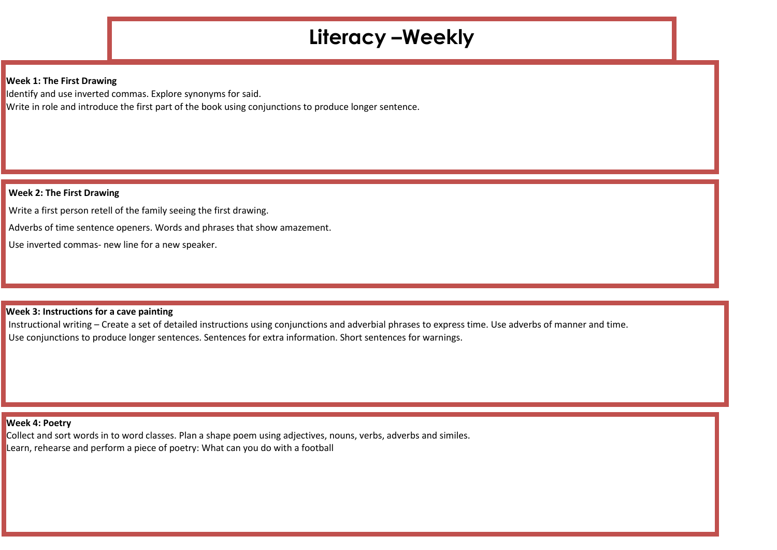# **Literacy –Weekly**

#### **Week 1: The First Drawing**

Identify and use inverted commas. Explore synonyms for said. Write in role and introduce the first part of the book using conjunctions to produce longer sentence.

#### **Week 2: The First Drawing**

Write a first person retell of the family seeing the first drawing.

Adverbs of time sentence openers. Words and phrases that show amazement.

Use inverted commas- new line for a new speaker.

#### **Week 3: Instructions for a cave painting**

Instructional writing – Create a set of detailed instructions using conjunctions and adverbial phrases to express time. Use adverbs of manner and time. Use conjunctions to produce longer sentences. Sentences for extra information. Short sentences for warnings.

#### **Week 4: Poetry**

Collect and sort words in to word classes. Plan a shape poem using adjectives, nouns, verbs, adverbs and similes. Learn, rehearse and perform a piece of poetry: What can you do with a football